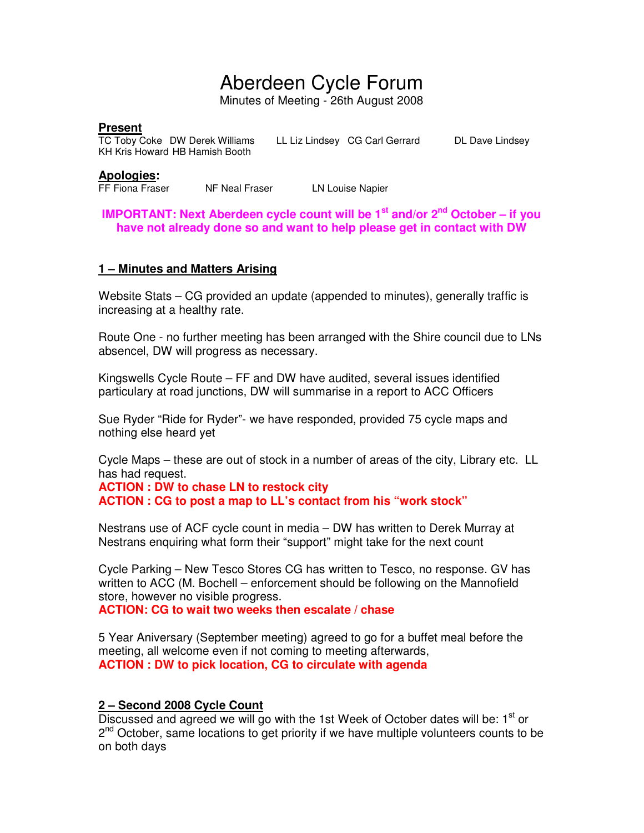# Aberdeen Cycle Forum

Minutes of Meeting - 26th August 2008

#### **Present**

TC Toby Coke DW Derek Williams LL Liz Lindsey CG Carl Gerrard DL Dave Lindsey KH Kris Howard HB Hamish Booth

#### **Apologies:**

FF Fiona Fraser NF Neal Fraser LN Louise Napier

**IMPORTANT: Next Aberdeen cycle count will be 1st and/or 2nd October – if you have not already done so and want to help please get in contact with DW** 

#### **1 – Minutes and Matters Arising**

Website Stats – CG provided an update (appended to minutes), generally traffic is increasing at a healthy rate.

Route One - no further meeting has been arranged with the Shire council due to LNs absencel, DW will progress as necessary.

Kingswells Cycle Route – FF and DW have audited, several issues identified particulary at road junctions, DW will summarise in a report to ACC Officers

Sue Ryder "Ride for Ryder"- we have responded, provided 75 cycle maps and nothing else heard yet

Cycle Maps – these are out of stock in a number of areas of the city, Library etc. LL has had request.

**ACTION : DW to chase LN to restock city ACTION : CG to post a map to LL's contact from his "work stock"**

Nestrans use of ACF cycle count in media – DW has written to Derek Murray at Nestrans enquiring what form their "support" might take for the next count

Cycle Parking – New Tesco Stores CG has written to Tesco, no response. GV has written to ACC (M. Bochell – enforcement should be following on the Mannofield store, however no visible progress.

**ACTION: CG to wait two weeks then escalate / chase** 

5 Year Aniversary (September meeting) agreed to go for a buffet meal before the meeting, all welcome even if not coming to meeting afterwards, **ACTION : DW to pick location, CG to circulate with agenda** 

# **2 – Second 2008 Cycle Count**

Discussed and agreed we will go with the 1st Week of October dates will be:  $1<sup>st</sup>$  or 2<sup>nd</sup> October, same locations to get priority if we have multiple volunteers counts to be on both days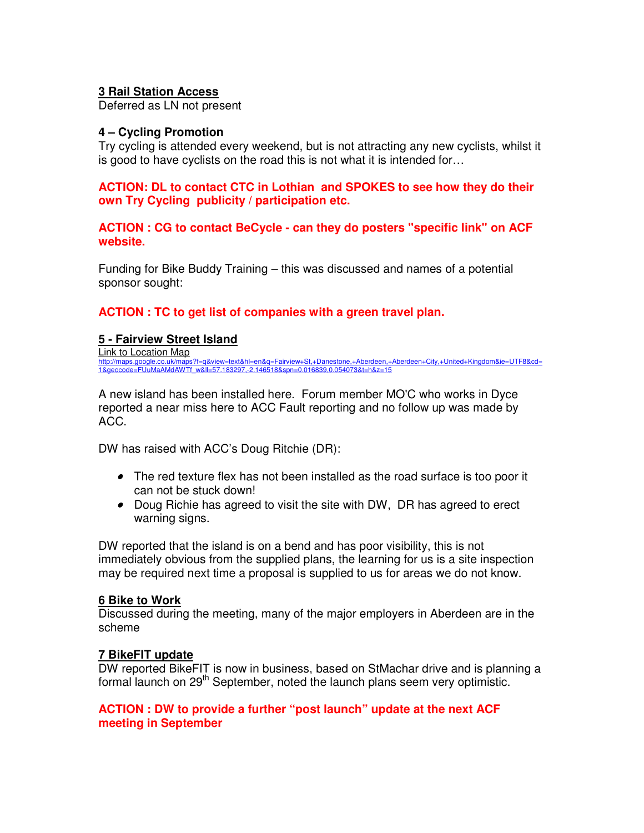# **3 Rail Station Access**

Deferred as LN not present

## **4 – Cycling Promotion**

Try cycling is attended every weekend, but is not attracting any new cyclists, whilst it is good to have cyclists on the road this is not what it is intended for…

**ACTION: DL to contact CTC in Lothian and SPOKES to see how they do their own Try Cycling publicity / participation etc.** 

**ACTION : CG to contact BeCycle - can they do posters "specific link" on ACF website.**

Funding for Bike Buddy Training – this was discussed and names of a potential sponsor sought:

**ACTION : TC to get list of companies with a green travel plan.** 

#### **5 - Fairview Street Island**

Link to Location Map http://maps.google.co.uk/maps?f=q&view=text&hl=en&q=Fairview+St,+Danestone,+Aberdeen,+Aberdeen+City,+United+Kingdom&ie=UTF8&cd=<br>1&geocode=FUuMaAMdAWTf\_w&ll=57.183297,-2.146518&spn=0.016839,0.054073&t=h&z=15

A new island has been installed here. Forum member MO'C who works in Dyce reported a near miss here to ACC Fault reporting and no follow up was made by ACC.

DW has raised with ACC's Doug Ritchie (DR):

- The red texture flex has not been installed as the road surface is too poor it can not be stuck down!
- Doug Richie has agreed to visit the site with DW, DR has agreed to erect warning signs.

DW reported that the island is on a bend and has poor visibility, this is not immediately obvious from the supplied plans, the learning for us is a site inspection may be required next time a proposal is supplied to us for areas we do not know.

#### **6 Bike to Work**

Discussed during the meeting, many of the major employers in Aberdeen are in the scheme

## **7 BikeFIT update**

DW reported BikeFIT is now in business, based on StMachar drive and is planning a formal launch on 29<sup>th</sup> September, noted the launch plans seem very optimistic.

## **ACTION : DW to provide a further "post launch" update at the next ACF meeting in September**